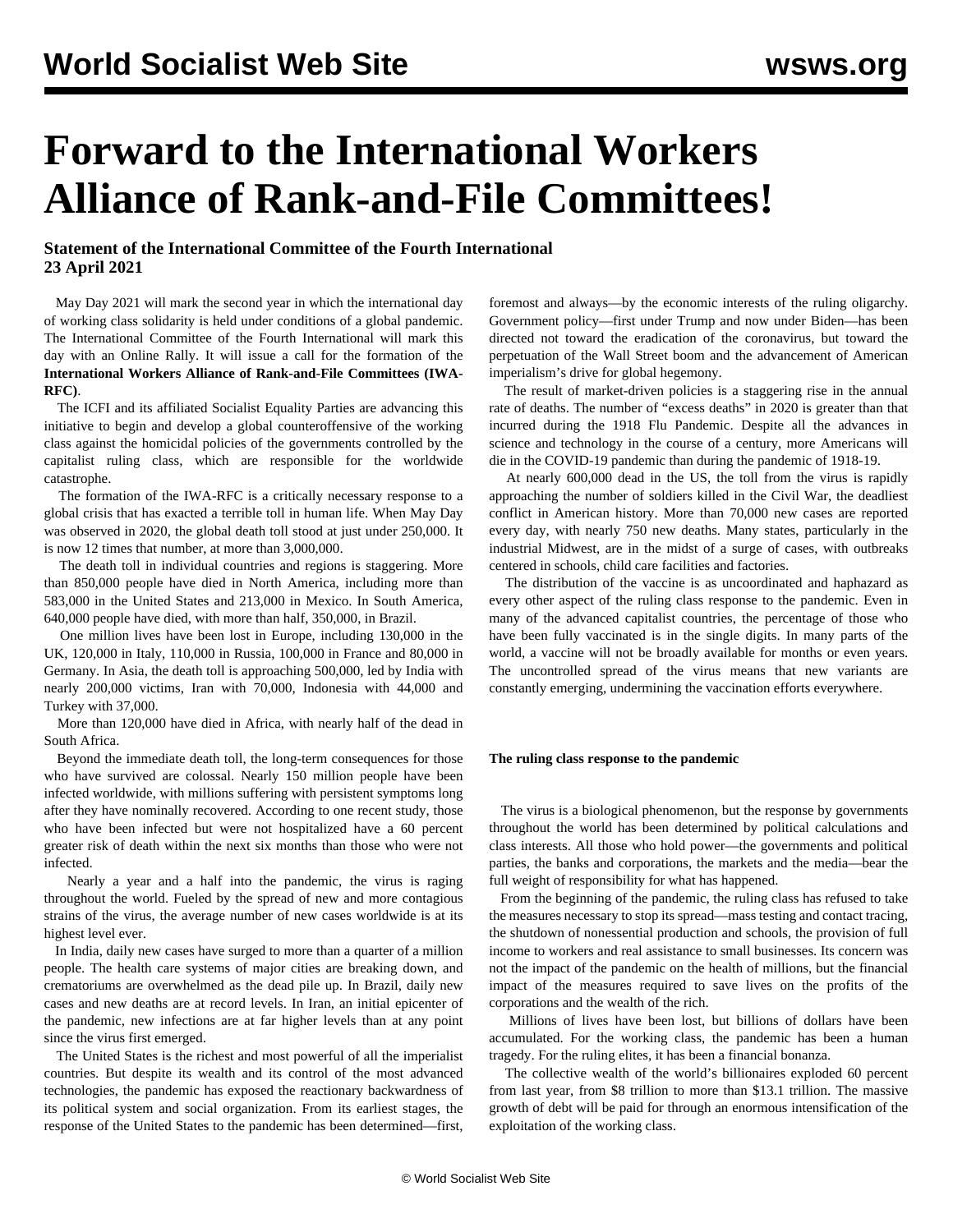# **Forward to the International Workers Alliance of Rank-and-File Committees!**

### **Statement of the International Committee of the Fourth International 23 April 2021**

 May Day 2021 will mark the second year in which the international day of working class solidarity is held under conditions of a global pandemic. The International Committee of the Fourth International will mark this day with an [Online Rally.](/en/special/pages/international-mayday-online-rally-2021.html) It will issue a call for the formation of the **International Workers Alliance of Rank-and-File Committees (IWA-RFC)**.

 The ICFI and its affiliated Socialist Equality Parties are advancing this initiative to begin and develop a global counteroffensive of the working class against the homicidal policies of the governments controlled by the capitalist ruling class, which are responsible for the worldwide catastrophe.

 The formation of the IWA-RFC is a critically necessary response to a global crisis that has exacted a terrible toll in human life. When May Day was observed in 2020, the global death toll stood at just under 250,000. It is now 12 times that number, at more than 3,000,000.

 The death toll in individual countries and regions is staggering. More than 850,000 people have died in North America, including more than 583,000 in the United States and 213,000 in Mexico. In South America, 640,000 people have died, with more than half, 350,000, in Brazil.

 One million lives have been lost in Europe, including 130,000 in the UK, 120,000 in Italy, 110,000 in Russia, 100,000 in France and 80,000 in Germany. In Asia, the death toll is approaching 500,000, led by India with nearly 200,000 victims, Iran with 70,000, Indonesia with 44,000 and Turkey with 37,000.

 More than 120,000 have died in Africa, with nearly half of the dead in South Africa.

 Beyond the immediate death toll, the long-term consequences for those who have survived are colossal. Nearly 150 million people have been infected worldwide, with millions suffering with persistent symptoms long after they have nominally recovered. According to one recent study, those who have been infected but were not hospitalized have a 60 percent greater risk of death within the next six months than those who were not infected.

 Nearly a year and a half into the pandemic, the virus is raging throughout the world. Fueled by the spread of new and more contagious strains of the virus, the average number of new cases worldwide is at its highest level ever.

 In India, daily new cases have surged to more than a quarter of a million people. The health care systems of major cities are breaking down, and crematoriums are overwhelmed as the dead pile up. In Brazil, daily new cases and new deaths are at record levels. In Iran, an initial epicenter of the pandemic, new infections are at far higher levels than at any point since the virus first emerged.

 The United States is the richest and most powerful of all the imperialist countries. But despite its wealth and its control of the most advanced technologies, the pandemic has exposed the reactionary backwardness of its political system and social organization. From its earliest stages, the response of the United States to the pandemic has been determined—first, foremost and always—by the economic interests of the ruling oligarchy. Government policy—first under Trump and now under Biden—has been directed not toward the eradication of the coronavirus, but toward the perpetuation of the Wall Street boom and the advancement of American imperialism's drive for global hegemony.

 The result of market-driven policies is a staggering rise in the annual rate of deaths. The number of "excess deaths" in 2020 is greater than that incurred during the 1918 Flu Pandemic. Despite all the advances in science and technology in the course of a century, more Americans will die in the COVID-19 pandemic than during the pandemic of 1918-19.

 At nearly 600,000 dead in the US, the toll from the virus is rapidly approaching the number of soldiers killed in the Civil War, the deadliest conflict in American history. More than 70,000 new cases are reported every day, with nearly 750 new deaths. Many states, particularly in the industrial Midwest, are in the midst of a surge of cases, with outbreaks centered in schools, child care facilities and factories.

 The distribution of the vaccine is as uncoordinated and haphazard as every other aspect of the ruling class response to the pandemic. Even in many of the advanced capitalist countries, the percentage of those who have been fully vaccinated is in the single digits. In many parts of the world, a vaccine will not be broadly available for months or even years. The uncontrolled spread of the virus means that new variants are constantly emerging, undermining the vaccination efforts everywhere.

#### **The ruling class response to the pandemic**

 The virus is a biological phenomenon, but the response by governments throughout the world has been determined by political calculations and class interests. All those who hold power—the governments and political parties, the banks and corporations, the markets and the media—bear the full weight of responsibility for what has happened.

 From the beginning of the pandemic, the ruling class has refused to take the measures necessary to stop its spread—mass testing and contact tracing, the shutdown of nonessential production and schools, the provision of full income to workers and real assistance to small businesses. Its concern was not the impact of the pandemic on the health of millions, but the financial impact of the measures required to save lives on the profits of the corporations and the wealth of the rich.

 Millions of lives have been lost, but billions of dollars have been accumulated. For the working class, the pandemic has been a human tragedy. For the ruling elites, it has been a financial bonanza.

 The collective wealth of the world's billionaires exploded 60 percent from last year, from \$8 trillion to more than \$13.1 trillion. The massive growth of debt will be paid for through an enormous intensification of the exploitation of the working class.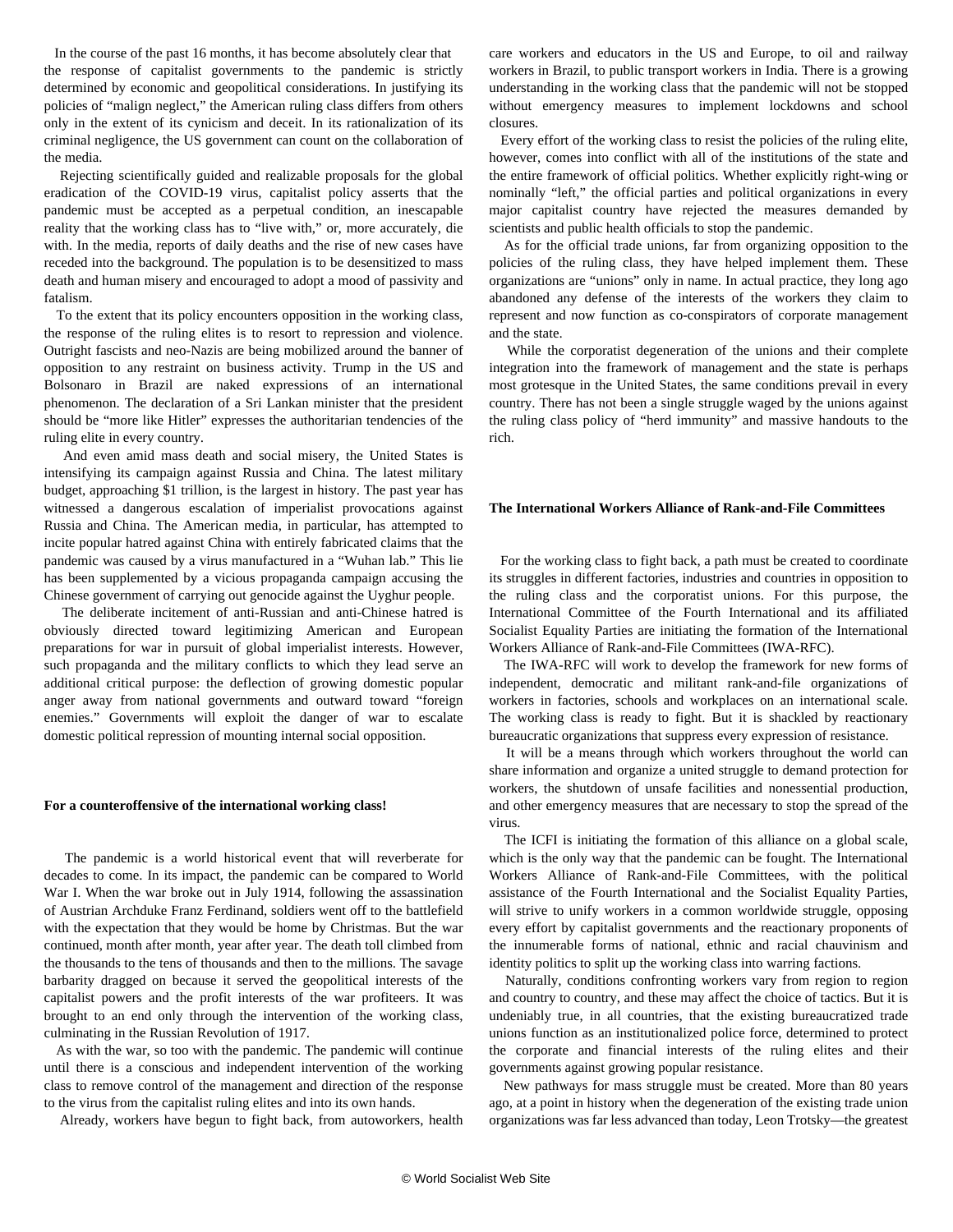In the course of the past 16 months, it has become absolutely clear that the response of capitalist governments to the pandemic is strictly determined by economic and geopolitical considerations. In justifying its policies of "malign neglect," the American ruling class differs from others only in the extent of its cynicism and deceit. In its rationalization of its criminal negligence, the US government can count on the collaboration of the media.

 Rejecting scientifically guided and realizable proposals for the global eradication of the COVID-19 virus, capitalist policy asserts that the pandemic must be accepted as a perpetual condition, an inescapable reality that the working class has to "live with," or, more accurately, die with. In the media, reports of daily deaths and the rise of new cases have receded into the background. The population is to be desensitized to mass death and human misery and encouraged to adopt a mood of passivity and fatalism.

 To the extent that its policy encounters opposition in the working class, the response of the ruling elites is to resort to repression and violence. Outright fascists and neo-Nazis are being mobilized around the banner of opposition to any restraint on business activity. Trump in the US and Bolsonaro in Brazil are naked expressions of an international phenomenon. The declaration of a Sri Lankan minister that the president should be "more like Hitler" expresses the authoritarian tendencies of the ruling elite in every country.

 And even amid mass death and social misery, the United States is intensifying its campaign against Russia and China. The latest military budget, approaching \$1 trillion, is the largest in history. The past year has witnessed a dangerous escalation of imperialist provocations against Russia and China. The American media, in particular, has attempted to incite popular hatred against China with entirely fabricated claims that the pandemic was caused by a virus manufactured in a "Wuhan lab." This lie has been supplemented by a vicious propaganda campaign accusing the Chinese government of carrying out genocide against the Uyghur people.

 The deliberate incitement of anti-Russian and anti-Chinese hatred is obviously directed toward legitimizing American and European preparations for war in pursuit of global imperialist interests. However, such propaganda and the military conflicts to which they lead serve an additional critical purpose: the deflection of growing domestic popular anger away from national governments and outward toward "foreign enemies." Governments will exploit the danger of war to escalate domestic political repression of mounting internal social opposition.

#### **For a counteroffensive of the international working class!**

 The pandemic is a world historical event that will reverberate for decades to come. In its impact, the pandemic can be compared to World War I. When the war broke out in July 1914, following the assassination of Austrian Archduke Franz Ferdinand, soldiers went off to the battlefield with the expectation that they would be home by Christmas. But the war continued, month after month, year after year. The death toll climbed from the thousands to the tens of thousands and then to the millions. The savage barbarity dragged on because it served the geopolitical interests of the capitalist powers and the profit interests of the war profiteers. It was brought to an end only through the intervention of the working class, culminating in the Russian Revolution of 1917.

 As with the war, so too with the pandemic. The pandemic will continue until there is a conscious and independent intervention of the working class to remove control of the management and direction of the response to the virus from the capitalist ruling elites and into its own hands.

Already, workers have begun to fight back, from autoworkers, health

care workers and educators in the US and Europe, to oil and railway workers in Brazil, to public transport workers in India. There is a growing understanding in the working class that the pandemic will not be stopped without emergency measures to implement lockdowns and school closures.

 Every effort of the working class to resist the policies of the ruling elite, however, comes into conflict with all of the institutions of the state and the entire framework of official politics. Whether explicitly right-wing or nominally "left," the official parties and political organizations in every major capitalist country have rejected the measures demanded by scientists and public health officials to stop the pandemic.

 As for the official trade unions, far from organizing opposition to the policies of the ruling class, they have helped implement them. These organizations are "unions" only in name. In actual practice, they long ago abandoned any defense of the interests of the workers they claim to represent and now function as co-conspirators of corporate management and the state.

 While the corporatist degeneration of the unions and their complete integration into the framework of management and the state is perhaps most grotesque in the United States, the same conditions prevail in every country. There has not been a single struggle waged by the unions against the ruling class policy of "herd immunity" and massive handouts to the rich.

#### **The International Workers Alliance of Rank-and-File Committees**

 For the working class to fight back, a path must be created to coordinate its struggles in different factories, industries and countries in opposition to the ruling class and the corporatist unions. For this purpose, the International Committee of the Fourth International and its affiliated Socialist Equality Parties are initiating the formation of the International Workers Alliance of Rank-and-File Committees (IWA-RFC).

 The IWA-RFC will work to develop the framework for new forms of independent, democratic and militant rank-and-file organizations of workers in factories, schools and workplaces on an international scale. The working class is ready to fight. But it is shackled by reactionary bureaucratic organizations that suppress every expression of resistance.

 It will be a means through which workers throughout the world can share information and organize a united struggle to demand protection for workers, the shutdown of unsafe facilities and nonessential production, and other emergency measures that are necessary to stop the spread of the virus.

 The ICFI is initiating the formation of this alliance on a global scale, which is the only way that the pandemic can be fought. The International Workers Alliance of Rank-and-File Committees, with the political assistance of the Fourth International and the Socialist Equality Parties, will strive to unify workers in a common worldwide struggle, opposing every effort by capitalist governments and the reactionary proponents of the innumerable forms of national, ethnic and racial chauvinism and identity politics to split up the working class into warring factions.

 Naturally, conditions confronting workers vary from region to region and country to country, and these may affect the choice of tactics. But it is undeniably true, in all countries, that the existing bureaucratized trade unions function as an institutionalized police force, determined to protect the corporate and financial interests of the ruling elites and their governments against growing popular resistance.

 New pathways for mass struggle must be created. More than 80 years ago, at a point in history when the degeneration of the existing trade union organizations was far less advanced than today, Leon Trotsky—the greatest